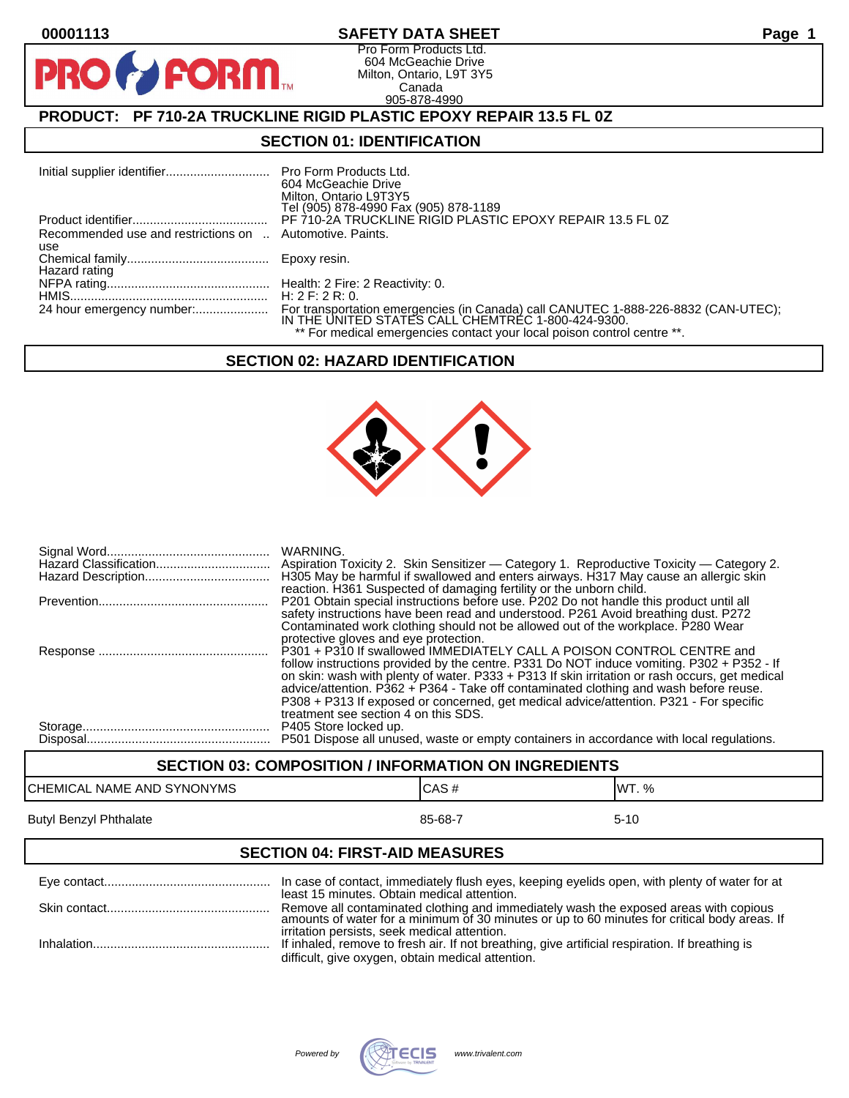PR

#### **00001113 SAFETY DATA SHEET Page 1**

Pro Form Products Ltd. 604 McGeachie Drive Milton, Ontario, L9T 3Y5 Canada 905-878-4990

## **PRODUCT: PF 710-2A TRUCKLINE RIGID PLASTIC EPOXY REPAIR 13.5 FL 0Z**

**FORM** 

#### **SECTION 01: IDENTIFICATION**

|                                                                 | 604 McGeachie Drive<br>Milton, Ontario L9T3Y5                           |
|-----------------------------------------------------------------|-------------------------------------------------------------------------|
|                                                                 | Tel (905) 878-4990 Fax (905) 878-1189                                   |
|                                                                 | PF 710-2A TRUCKLINE RIGID PLASTIC EPOXY REPAIR 13.5 FL 0Z               |
| Recommended use and restrictions on  Automotive. Paints.<br>use |                                                                         |
| Hazard rating                                                   |                                                                         |
|                                                                 |                                                                         |
|                                                                 | H: $2$ F: $2$ R: 0.                                                     |
|                                                                 |                                                                         |
|                                                                 | ** For medical emergencies contact your local poison control centre **. |

## **SECTION 02: HAZARD IDENTIFICATION**



| <b>WARNING.</b><br>H305 May be harmful if swallowed and enters airways. H317 May cause an allergic skin<br>reaction. H361 Suspected of damaging fertility or the unborn child.                                                                                                                                                                                                                                                                                                                  |
|-------------------------------------------------------------------------------------------------------------------------------------------------------------------------------------------------------------------------------------------------------------------------------------------------------------------------------------------------------------------------------------------------------------------------------------------------------------------------------------------------|
| P201 Obtain special instructions before use. P202 Do not handle this product until all<br>safety instructions have been read and understood. P261 Avoid breathing dust. P272<br>Contaminated work clothing should not be allowed out of the workplace. P280 Wear<br>protective gloves and eye protection.                                                                                                                                                                                       |
| P301 + P310 If swallowed IMMEDIATELY CALL A POISON CONTROL CENTRE and<br>follow instructions provided by the centre. P331 Do NOT induce vomiting. P302 + P352 - If<br>on skin: wash with plenty of water. P333 + P313 If skin irritation or rash occurs, get medical<br>advice/attention. P362 + P364 - Take off contaminated clothing and wash before reuse.<br>P308 + P313 If exposed or concerned, get medical advice/attention. P321 - For specific<br>treatment see section 4 on this SDS. |
| P405 Store locked up.<br>P501 Dispose all unused, waste or empty containers in accordance with local regulations.                                                                                                                                                                                                                                                                                                                                                                               |

# **SECTION 03: COMPOSITION / INFORMATION ON INGREDIENTS** CHEMICAL NAME AND SYNONYMS CHEMICAL NAME AND SYNONYMS Butyl Benzyl Phthalate 85-68-7 5-10

#### **SECTION 04: FIRST-AID MEASURES**

| least 15 minutes. Obtain medical attention.                                                                                                                                                                                          |
|--------------------------------------------------------------------------------------------------------------------------------------------------------------------------------------------------------------------------------------|
| Remove all contaminated clothing and immediately wash the exposed areas with copious<br>amounts of water for a minimum of 30 minutes or up to 60 minutes for critical body areas. If<br>irritation persists, seek medical attention. |
| If inhaled, remove to fresh air. If not breathing, give artificial respiration. If breathing is<br>difficult, give oxygen, obtain medical attention.                                                                                 |

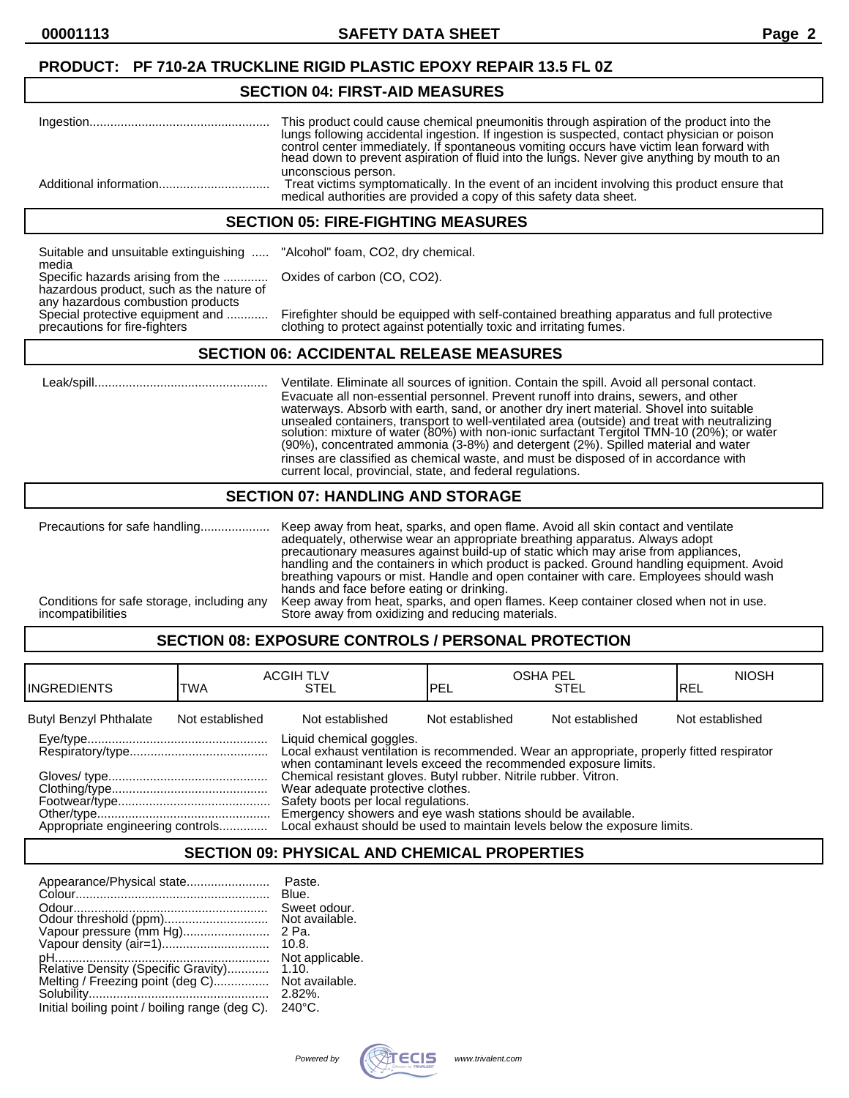#### **PRODUCT: PF 710-2A TRUCKLINE RIGID PLASTIC EPOXY REPAIR 13.5 FL 0Z**

#### **SECTION 04: FIRST-AID MEASURES**

| This product could cause chemical pneumonitis through aspiration of the product into the<br>lungs following accidental ingestion. If ingestion is suspected, contact physician or poison<br>control center immediately. If spontaneous vomiting occurs have victim lean forward with<br>head down to prevent aspiration of fluid into the lungs. Never give anything by mouth to an |
|-------------------------------------------------------------------------------------------------------------------------------------------------------------------------------------------------------------------------------------------------------------------------------------------------------------------------------------------------------------------------------------|
| unconscious person.<br>Treat victims symptomatically. In the event of an incident involving this product ensure that<br>medical authorities are provided a copy of this safety data sheet.                                                                                                                                                                                          |

#### **SECTION 05: FIRE-FIGHTING MEASURES**

Suitable and unsuitable extinguishing ..... "Alcohol" foam, CO2, dry chemical. media Specific hazards arising from the ............. Oxides of carbon (CO, CO2). hazardous product, such as the nature of any hazardous combustion products<br>Special protective equipment and ............

Special protective equipment and ............ Firefighter should be equipped with self-contained breathing apparatus and full protective<br>precautions for fire-fighters clothing to protect against potentially toxic and irrit clothing to protect against potentially toxic and irritating fumes.

#### **SECTION 06: ACCIDENTAL RELEASE MEASURES**

 Leak/spill.................................................. Ventilate. Eliminate all sources of ignition. Contain the spill. Avoid all personal contact. Evacuate all non-essential personnel. Prevent runoff into drains, sewers, and other waterways. Absorb with earth, sand, or another dry inert material. Shovel into suitable unsealed containers, transport to well-ventilated area (outside) and treat with neutralizing solution: mixture of water (80%) with non-ionic surfactànt Tergitol TMN-10 (20%); or water (90%), concentrated ammonia (3-8%) and detergent (2%). Spilled material and water rinses are classified as chemical waste, and must be disposed of in accordance with current local, provincial, state, and federal regulations.

#### **SECTION 07: HANDLING AND STORAGE**

|                                                                 | adequately, otherwise wear an appropriate breathing apparatus. Always adopt<br>precautionary measures against build-up of static which may arise from appliances,<br>handling and the containers in which product is packed. Ground handling equipment. Avoid<br>breathing vapours or mist. Handle and open container with care. Employees should wash |
|-----------------------------------------------------------------|--------------------------------------------------------------------------------------------------------------------------------------------------------------------------------------------------------------------------------------------------------------------------------------------------------------------------------------------------------|
| Conditions for safe storage, including any<br>incompatibilities | hands and face before eating or drinking.<br>Keep away from heat, sparks, and open flames. Keep container closed when not in use.<br>Store away from oxidizing and reducing materials.                                                                                                                                                                 |

## **SECTION 08: EXPOSURE CONTROLS / PERSONAL PROTECTION**

| <b>IINGREDIENTS</b>              | TWA             | <b>ACGIH TLV</b><br><b>STEL</b>                                                                                                                                                                                                                                                                                                                                                                                                                                                        | <b>IPEL</b>     | <b>OSHA PEL</b><br><b>STEL</b> | <b>NIOSH</b><br>IREL |
|----------------------------------|-----------------|----------------------------------------------------------------------------------------------------------------------------------------------------------------------------------------------------------------------------------------------------------------------------------------------------------------------------------------------------------------------------------------------------------------------------------------------------------------------------------------|-----------------|--------------------------------|----------------------|
| <b>Butyl Benzyl Phthalate</b>    | Not established | Not established                                                                                                                                                                                                                                                                                                                                                                                                                                                                        | Not established | Not established                | Not established      |
| Appropriate engineering controls |                 | Liquid chemical goggles.<br>Local exhaust ventilation is recommended. Wear an appropriate, properly fitted respirator<br>when contaminant levels exceed the recommended exposure limits.<br>Chemical resistant gloves. Butyl rubber. Nitrile rubber. Vitron.<br>Wear adequate protective clothes.<br>Safety boots per local regulations.<br>Emergency showers and eye wash stations should be available.<br>Local exhaust should be used to maintain levels below the exposure limits. |                 |                                |                      |

#### **SECTION 09: PHYSICAL AND CHEMICAL PROPERTIES**

| Appearance/Physical state                                               | Paste.<br>Blue.                         |
|-------------------------------------------------------------------------|-----------------------------------------|
| Odour threshold (ppm)                                                   | Sweet odour.<br>Not available.<br>2 Pa. |
| Vapour pressure (mm Hg)                                                 | 10.8.<br>Not applicable.                |
| Relative Density (Specific Gravity)<br>Melting / Freezing point (deg C) | 1.10.<br>Not available.<br>$2.82\%$     |
| Initial boiling point / boiling range (deg C).                          | $240^{\circ}$ C.                        |

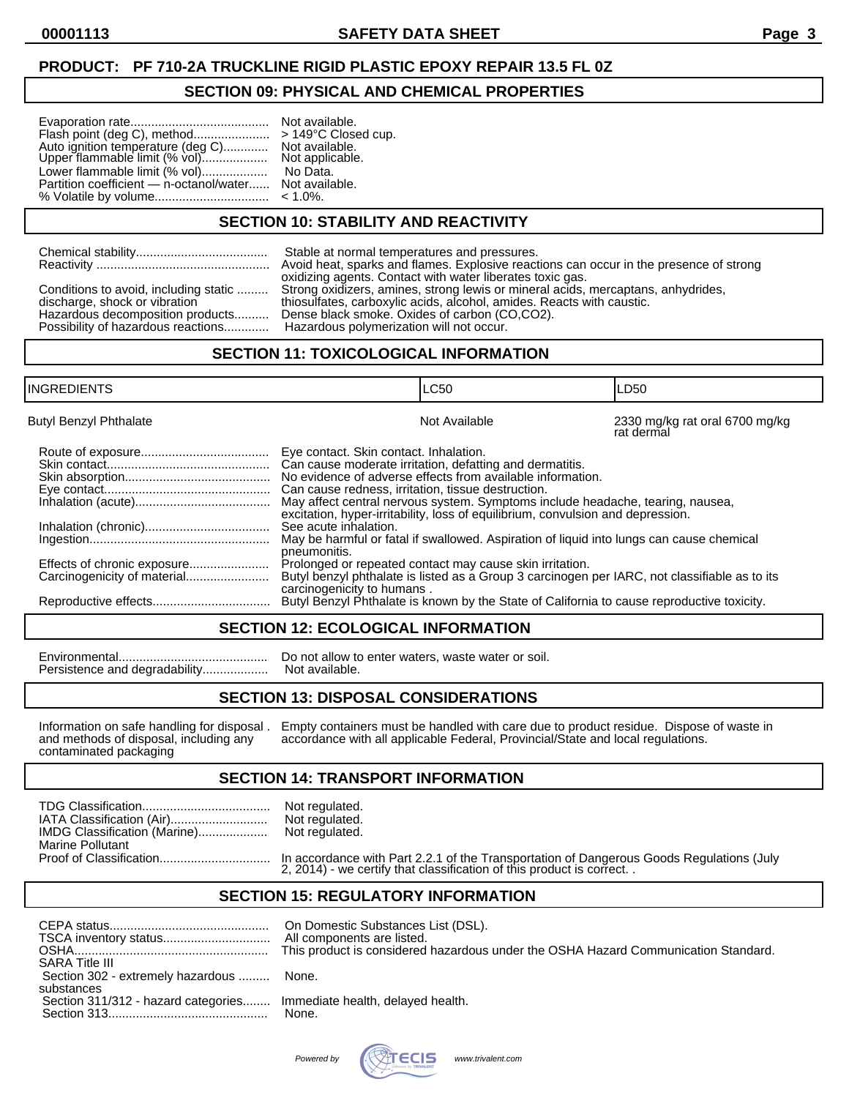## **PRODUCT: PF 710-2A TRUCKLINE RIGID PLASTIC EPOXY REPAIR 13.5 FL 0Z**

#### **SECTION 09: PHYSICAL AND CHEMICAL PROPERTIES**

| Flash point (deg C), method<br>Auto ignition temperature (deg C)<br>Upper flammable limit (% vol) | Not available.<br>$>149^{\circ}$ C Close<br>Not available.<br>Not applicable |
|---------------------------------------------------------------------------------------------------|------------------------------------------------------------------------------|
| Lower flammable limit (% vol)                                                                     | No Data.                                                                     |
| Partition coefficient — n-octanol/water                                                           | Not available.                                                               |
| % Volatile by volume                                                                              | $< 1.0\%$ .                                                                  |

Upper final limit (Not applicable. No Data. **Jot available.**  $1.0%$ .

149°C Closed cup.

#### **SECTION 10: STABILITY AND REACTIVITY**

|                                                                             | Stable at normal temperatures and pressures.                                           |
|-----------------------------------------------------------------------------|----------------------------------------------------------------------------------------|
|                                                                             | Avoid heat, sparks and flames. Explosive reactions can occur in the presence of strong |
| Conditions to avoid, including static                                       | oxidizing agents. Contact with water liberates toxic gas.                              |
| discharge, shock or vibration                                               | Strong oxidizers, amines, strong lewis or mineral acids, mercaptans, anhydrides,       |
| Hazardous decomposition products                                            | thiosulfates, carboxylic acids, alcohol, amides. Reacts with caustic.                  |
| Possibility of hazardous reactions Hazardous polymerization will not occur. | Dense black smoke. Oxides of carbon (CO,CO2).                                          |

#### **SECTION 11: TOXICOLOGICAL INFORMATION**

| <b>INGREDIENTS</b>            |                                                                                                                                                                     | <b>LC50</b>                                                                                                                                                                                                                                                                                                                                                                                                                                                                                                                                          | LD50                                         |
|-------------------------------|---------------------------------------------------------------------------------------------------------------------------------------------------------------------|------------------------------------------------------------------------------------------------------------------------------------------------------------------------------------------------------------------------------------------------------------------------------------------------------------------------------------------------------------------------------------------------------------------------------------------------------------------------------------------------------------------------------------------------------|----------------------------------------------|
| <b>Butyl Benzyl Phthalate</b> |                                                                                                                                                                     | Not Available                                                                                                                                                                                                                                                                                                                                                                                                                                                                                                                                        | 2330 mg/kg rat oral 6700 mg/kg<br>rat dermal |
| Effects of chronic exposure   | Eye contact. Skin contact. Inhalation.<br>Can cause redness, irritation, tissue destruction.<br>See acute inhalation.<br>pneumonitis.<br>carcinogenicity to humans. | Can cause moderate irritation, defatting and dermatitis.<br>No evidence of adverse effects from available information.<br>May affect central nervous system. Symptoms include headache, tearing, nausea,<br>excitation, hyper-irritability, loss of equilibrium, convulsion and depression.<br>May be harmful or fatal if swallowed. Aspiration of liquid into lungs can cause chemical<br>Prolonged or repeated contact may cause skin irritation.<br>Butyl benzyl phthalate is listed as a Group 3 carcinogen per IARC, not classifiable as to its |                                              |
|                               |                                                                                                                                                                     | Butyl Benzyl Phthalate is known by the State of California to cause reproductive toxicity.                                                                                                                                                                                                                                                                                                                                                                                                                                                           |                                              |

#### **SECTION 12: ECOLOGICAL INFORMATION**

Environmental........................................... Do not allow to enter waters, waste water or soil. Persistence and degradability..................

#### **SECTION 13: DISPOSAL CONSIDERATIONS**

contaminated packaging

Information on safe handling for disposal . Empty containers must be handled with care due to product residue. Dispose of waste in and methods of disposal, including any accordance with all applicable Federal, Provincial/S accordance with all applicable Federal, Provincial/State and local regulations.

#### **SECTION 14: TRANSPORT INFORMATION**

| IATA Classification (Air)<br>IMDG Classification (Marine) | Not regulated.<br>Not regulated.<br>Not regulated. |
|-----------------------------------------------------------|----------------------------------------------------|
| <b>Marine Pollutant</b>                                   |                                                    |
|                                                           |                                                    |

Proof of Classification................................ In accordance with Part 2.2.1 of the Transportation of Dangerous Goods Regulations (July 2, 2014) - we certify that classification of this product is correct. .

#### **SECTION 15: REGULATORY INFORMATION**

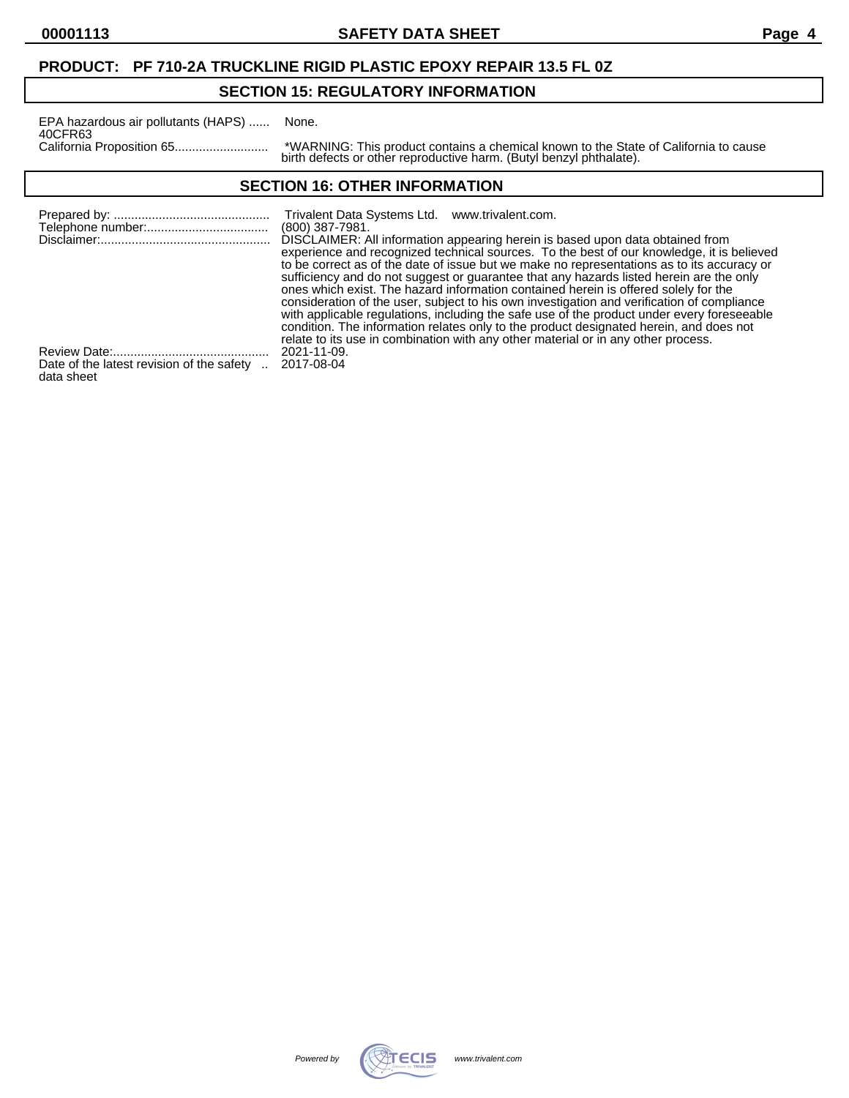### **PRODUCT: PF 710-2A TRUCKLINE RIGID PLASTIC EPOXY REPAIR 13.5 FL 0Z**

## **SECTION 15: REGULATORY INFORMATION**

| EPA hazardous air pollutants (HAPS) | None.        |
|-------------------------------------|--------------|
| 40CFR63                             | *WARNING     |
|                                     | bjeth dofaat |

California Proposition 65........................... \*WARNING: This product contains a chemical known to the State of California to cause birth defects or other reproductive harm. (Butyl benzyl phthalate).

#### **SECTION 16: OTHER INFORMATION**

|                                           | Trivalent Data Systems Ltd. www.trivalent.com.<br>$(800)$ 387-7981.<br>DISCLAIMER: All information appearing herein is based upon data obtained from<br>experience and recognized technical sources. To the best of our knowledge, it is believed<br>to be correct as of the date of issue but we make no representations as to its accuracy or<br>sufficiency and do not suggest or guarantee that any hazards listed herein are the only<br>ones which exist. The hazard information contained herein is offered solely for the<br>consideration of the user, subject to his own investigation and verification of compliance<br>with applicable regulations, including the safe use of the product under every foreseeable<br>condition. The information relates only to the product designated herein, and does not<br>relate to its use in combination with any other material or in any other process. |
|-------------------------------------------|--------------------------------------------------------------------------------------------------------------------------------------------------------------------------------------------------------------------------------------------------------------------------------------------------------------------------------------------------------------------------------------------------------------------------------------------------------------------------------------------------------------------------------------------------------------------------------------------------------------------------------------------------------------------------------------------------------------------------------------------------------------------------------------------------------------------------------------------------------------------------------------------------------------|
|                                           | 2021-11-09.                                                                                                                                                                                                                                                                                                                                                                                                                                                                                                                                                                                                                                                                                                                                                                                                                                                                                                  |
| Date of the latest revision of the safety | 2017-08-04                                                                                                                                                                                                                                                                                                                                                                                                                                                                                                                                                                                                                                                                                                                                                                                                                                                                                                   |

 $\mu$  the latest revision of the safety  $\mu$ . 2017-08-04 data sheet

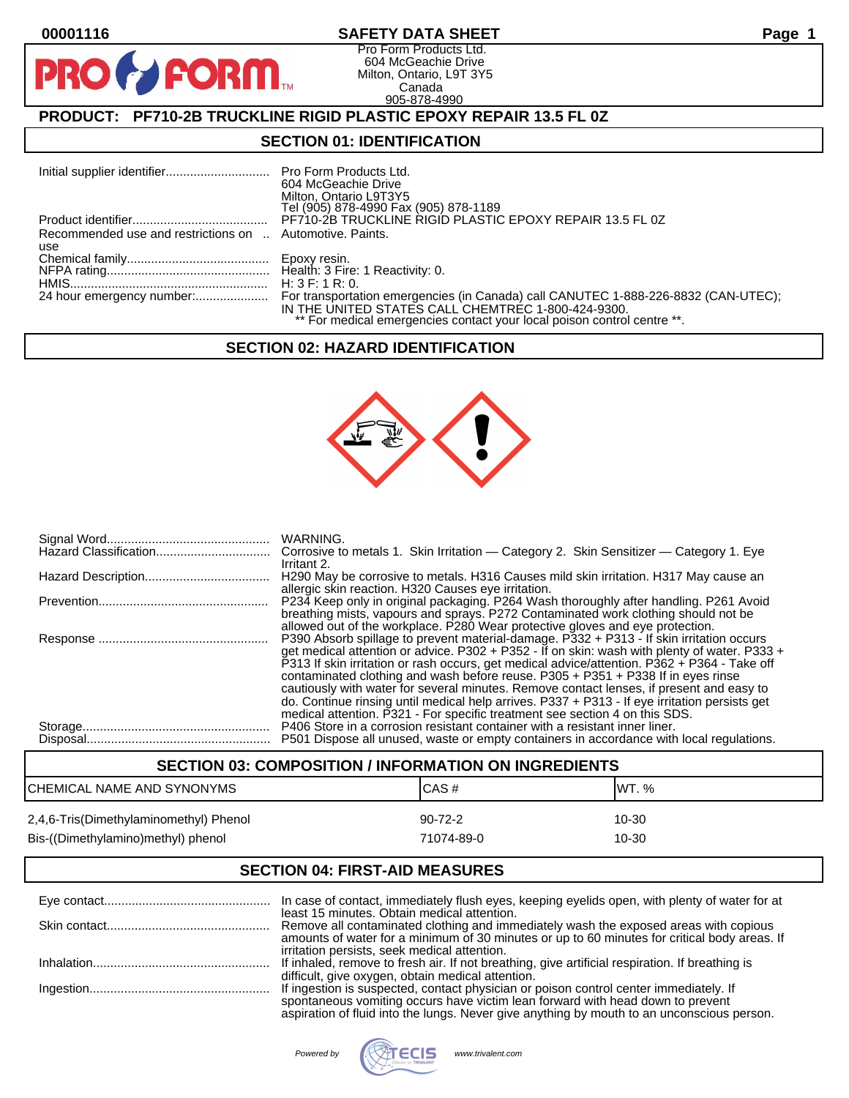**PR** 

#### **00001116 SAFETY DATA SHEET Page 1**

Pro Form Products Ltd. 604 McGeachie Drive Milton, Ontario, L9T 3Y5 Canada 905-878-4990

## **PRODUCT: PF710-2B TRUCKLINE RIGID PLASTIC EPOXY REPAIR 13.5 FL 0Z**

**FORM.** 

#### **SECTION 01: IDENTIFICATION**

|                                                          | 604 McGeachie Drive<br>Milton, Ontario L9T3Y5<br>Tel (905) 878-4990 Fax (905) 878-1189 |
|----------------------------------------------------------|----------------------------------------------------------------------------------------|
|                                                          | PF710-2B TRUCKLINE RIGID PLASTIC EPOXY REPAIR 13.5 FL 0Z                               |
| Recommended use and restrictions on  Automotive. Paints. |                                                                                        |
| use                                                      |                                                                                        |
|                                                          |                                                                                        |
|                                                          |                                                                                        |
|                                                          | H: 3 F: 1 R: 0.                                                                        |
|                                                          | IN THE UNITED STATES CALL CHEMTREC 1-800-424-9300.                                     |
|                                                          | ** For medical emergencies contact your local poison control centre **.                |

#### **SECTION 02: HAZARD IDENTIFICATION**



| Irritant 2.                                                                                                                                                                                                                                                                                                                                                                                                                                                                                                                                                                                                                                              |
|----------------------------------------------------------------------------------------------------------------------------------------------------------------------------------------------------------------------------------------------------------------------------------------------------------------------------------------------------------------------------------------------------------------------------------------------------------------------------------------------------------------------------------------------------------------------------------------------------------------------------------------------------------|
| H290 May be corrosive to metals. H316 Causes mild skin irritation. H317 May cause an<br>allergic skin reaction. H320 Causes eye irritation.                                                                                                                                                                                                                                                                                                                                                                                                                                                                                                              |
| P234 Keep only in original packaging. P264 Wash thoroughly after handling. P261 Avoid<br>breathing mists, vapours and sprays. P272 Contaminated work clothing should not be<br>allowed out of the workplace. P280 Wear protective gloves and eve protection.                                                                                                                                                                                                                                                                                                                                                                                             |
| P390 Absorb spillage to prevent material-damage. P332 + P313 - If skin irritation occurs<br>get medical attention or advice. P302 + P352 - If on skin: wash with plenty of water. P333 +<br>P313 If skin irritation or rash occurs, get medical advice/attention. P362 + P364 - Take off<br>contaminated clothing and wash before reuse. P305 + P351 + P338 If in eyes rinse<br>cautiously with water for several minutes. Remove contact lenses, if present and easy to<br>do. Continue rinsing until medical help arrives. P337 + P313 - If eye irritation persists get<br>medical attention. P321 - For specific treatment see section 4 on this SDS. |
| P406 Store in a corrosion resistant container with a resistant inner liner.<br>P501 Dispose all unused, waste or empty containers in accordance with local regulations.                                                                                                                                                                                                                                                                                                                                                                                                                                                                                  |

## **SECTION 03: COMPOSITION / INFORMATION ON INGREDIENTS** CHEMICAL NAME AND SYNONYMS CAS A CAS # CAS # WT. % 2,4,6-Tris(Dimethylaminomethyl) Phenol 90-72-2 10-30 Bis-((Dimethylamino)methyl) phenol 71074-89-0 71074-89-0

#### **SECTION 04: FIRST-AID MEASURES**

| In case of contact, immediately flush eyes, keeping eyelids open, with plenty of water for at                                                |
|----------------------------------------------------------------------------------------------------------------------------------------------|
| least 15 minutes. Obtain medical attention.<br>Remove all contaminated clothing and immediately wash the exposed areas with copious          |
| amounts of water for a minimum of 30 minutes or up to 60 minutes for critical body areas. If<br>irritation persists, seek medical attention. |
| If inhaled, remove to fresh air. If not breathing, give artificial respiration. If breathing is                                              |
| difficult, give oxygen, obtain medical attention.                                                                                            |
| If ingestion is suspected, contact physician or poison control center immediately. If                                                        |
| spontaneous vomiting occurs have victim lean forward with head down to prevent                                                               |
| aspiration of fluid into the lungs. Never give anything by mouth to an unconscious person.                                                   |

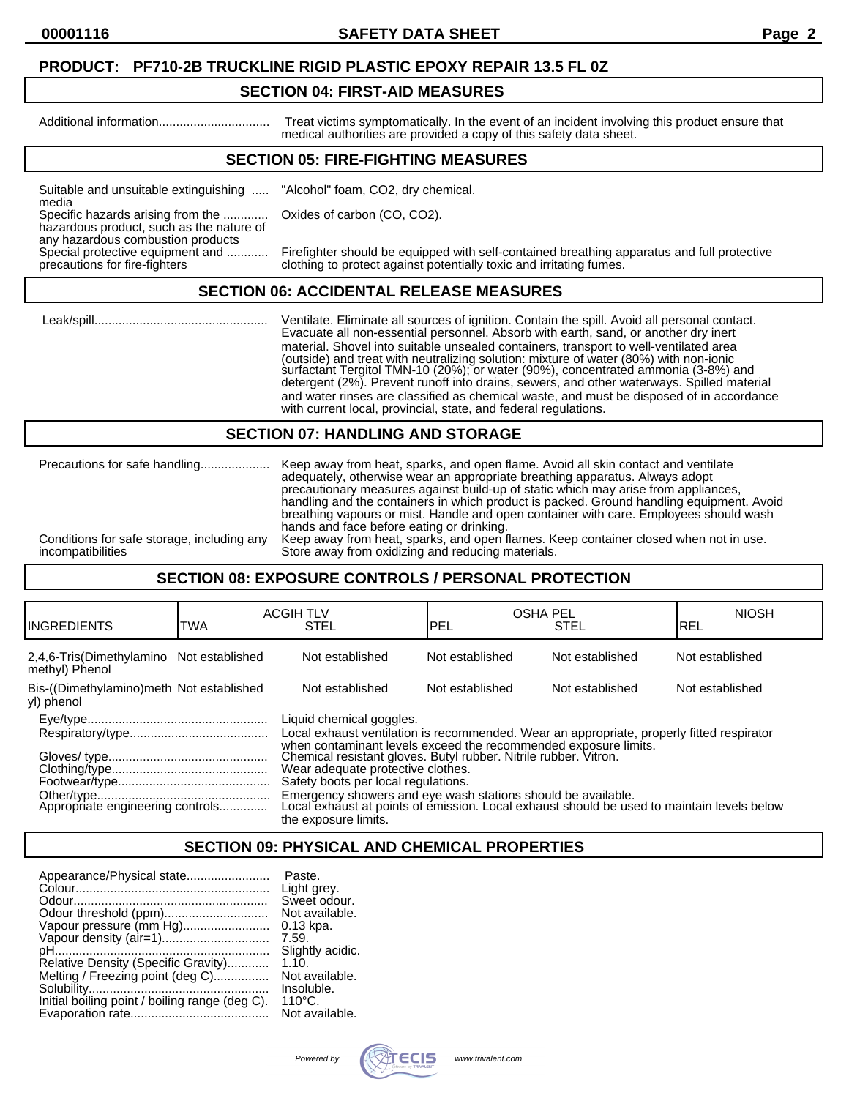#### **PRODUCT: PF710-2B TRUCKLINE RIGID PLASTIC EPOXY REPAIR 13.5 FL 0Z**

#### **SECTION 04: FIRST-AID MEASURES**

Additional information................................ Treat victims symptomatically. In the event of an incident involving this product ensure that medical authorities are provided a copy of this safety data sheet.

#### **SECTION 05: FIRE-FIGHTING MEASURES**

Suitable and unsuitable extinguishing ..... "Alcohol" foam, CO2, dry chemical. media

Specific hazards arising from the ............. Oxides of carbon (CO, CO2).

hazardous product, such as the nature of any hazardous combustion products<br>Special protective equipment and ............

Special protective equipment and ............ Firefighter should be equipped with self-contained breathing apparatus and full protective<br>precautions for fire-fighters clothing to protect against potentially toxic and irrit clothing to protect against potentially toxic and irritating fumes.

#### **SECTION 06: ACCIDENTAL RELEASE MEASURES**

 Leak/spill.................................................. Ventilate. Eliminate all sources of ignition. Contain the spill. Avoid all personal contact. Evacuate all non-essential personnel. Absorb with earth, sand, or another dry inert material. Shovel into suitable unsealed containers, transport to well-ventilated area (outside) and treat with neutralizing solution: mixture of water (80%) with non-ionic surfactant Tergitol TMN-10 (20%); or water (90%), concentrated ammonia (3-8%) and detergent (2%). Prevent runoff into drains, sewers, and other waterways. Spilled material and water rinses are classified as chemical waste, and must be disposed of in accordance with current local, provincial, state, and federal regulations.

#### **SECTION 07: HANDLING AND STORAGE**

|                                            | adequately, otherwise wear an appropriate breathing apparatus. Always adopt<br>precautionary measures against build-up of static which may arise from appliances,<br>handling and the containers in which product is packed. Ground handling equipment. Avoid<br>breathing vapours or mist. Handle and open container with care. Employees should wash<br>hands and face before eating or drinking. |
|--------------------------------------------|-----------------------------------------------------------------------------------------------------------------------------------------------------------------------------------------------------------------------------------------------------------------------------------------------------------------------------------------------------------------------------------------------------|
| Conditions for safe storage, including any | Keep away from heat, sparks, and open flames. Keep container closed when not in use.                                                                                                                                                                                                                                                                                                                |
| incompatibilities                          | Store away from oxidizing and reducing materials.                                                                                                                                                                                                                                                                                                                                                   |

#### **SECTION 08: EXPOSURE CONTROLS / PERSONAL PROTECTION**

| IINGREDIENTS                                               | TWA | <b>ACGIH TLV</b><br><b>STEL</b>                                                                                                                                                                                                                                                                                                          | <b>OSHA PEL</b><br>PEL | <b>STEL</b>     | <b>NIOSH</b><br>IREL |
|------------------------------------------------------------|-----|------------------------------------------------------------------------------------------------------------------------------------------------------------------------------------------------------------------------------------------------------------------------------------------------------------------------------------------|------------------------|-----------------|----------------------|
| 2,4,6-Tris(Dimethylamino Not established<br>methyl) Phenol |     | Not established                                                                                                                                                                                                                                                                                                                          | Not established        | Not established | Not established      |
| Bis-((Dimethylamino)meth Not established<br>yl) phenol     |     | Not established                                                                                                                                                                                                                                                                                                                          | Not established        | Not established | Not established      |
|                                                            |     | Liquid chemical goggles.<br>Local exhaust ventilation is recommended. Wear an appropriate, properly fitted respirator<br>when contaminant levels exceed the recommended exposure limits.<br>Chemical resistant gloves. Butyl rubber. Nitrile rubber. Vitron.<br>Wear adequate protective clothes.<br>Safety boots per local regulations. |                        |                 |                      |
|                                                            |     | Emergency showers and eye wash stations should be available.<br>Local exhaust at points of emission. Local exhaust should be used to maintain levels below<br>the exposure limits.                                                                                                                                                       |                        |                 |                      |

## **SECTION 09: PHYSICAL AND CHEMICAL PROPERTIES**

| Appearance/Physical state                      | Paste.           |
|------------------------------------------------|------------------|
|                                                | Light grey.      |
|                                                | Sweet odour.     |
|                                                | Not available.   |
| Vapour pressure (mm Hg)                        | $0.13$ kpa.      |
| Vapour density (air=1)                         | 7.59.            |
|                                                | Slightly acidic. |
| Relative Density (Specific Gravity)            | 1.10.            |
| Melting / Freezing point (deg C)               | Not available.   |
|                                                | Insoluble.       |
| Initial boiling point / boiling range (deg C). | $110^{\circ}$ C. |
|                                                | Not available.   |

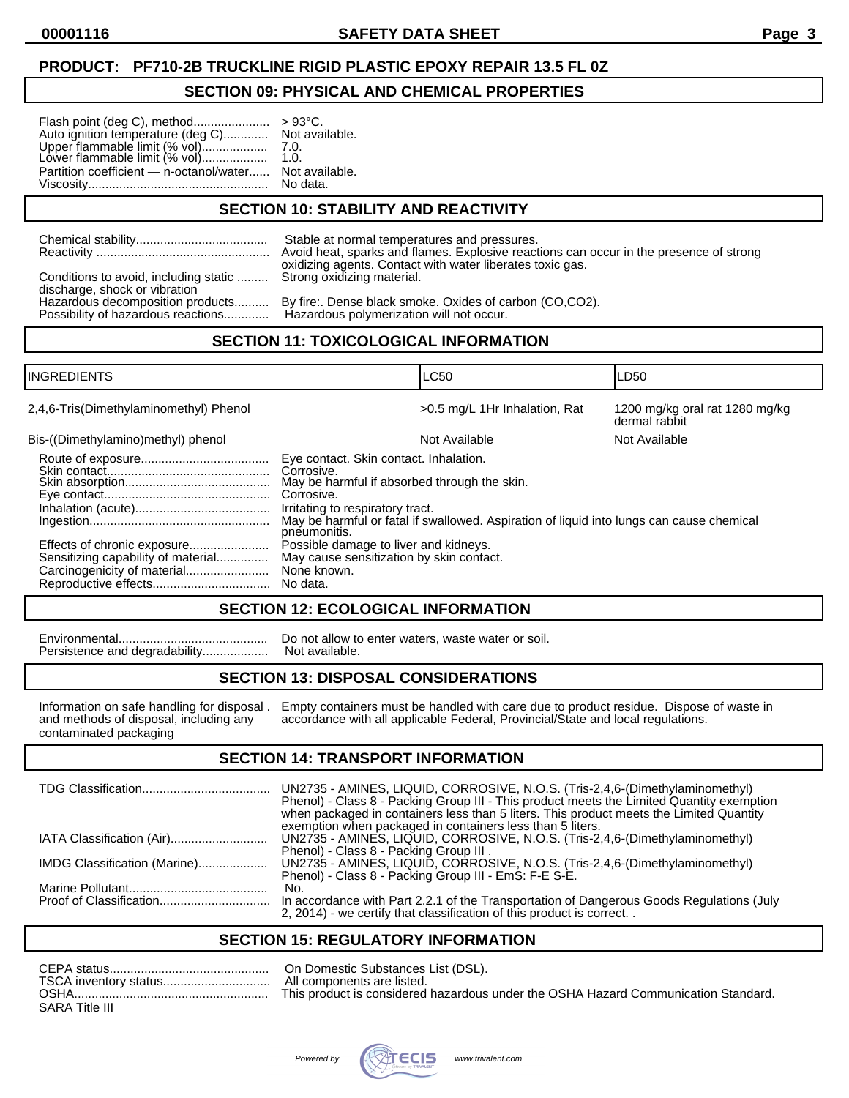## **PRODUCT: PF710-2B TRUCKLINE RIGID PLASTIC EPOXY REPAIR 13.5 FL 0Z**

#### **SECTION 09: PHYSICAL AND CHEMICAL PROPERTIES**

| Auto ignition temperature (deg C) Not available.                                           |          |
|--------------------------------------------------------------------------------------------|----------|
|                                                                                            |          |
| Upper flammable limit (% vol)            7.0.<br>Lower flammable limit (% vol)        1.0. |          |
| Partition coefficient - n-octanol/water Not available.                                     |          |
|                                                                                            | No data. |

## **SECTION 10: STABILITY AND REACTIVITY**

|                                                                                                    | Stable at normal temperatures and pressures.                                           |
|----------------------------------------------------------------------------------------------------|----------------------------------------------------------------------------------------|
|                                                                                                    | Avoid heat, sparks and flames. Explosive reactions can occur in the presence of strong |
| Conditions to avoid, including static  Strong oxidizing material.<br>discharge, shock or vibration | oxidizing agents. Contact with water liberates toxic gas.                              |
| Hazardous decomposition products                                                                   | By fire: Dense black smoke. Oxides of carbon (CO,CO2).                                 |
| Possibility of hazardous reactions                                                                 | Hazardous polymerization will not occur.                                               |

## **SECTION 11: TOXICOLOGICAL INFORMATION**

| <b>INGREDIENTS</b>                                                |                                                                                                                                                                        | <b>LC50</b>                                                                              | LD50                                            |
|-------------------------------------------------------------------|------------------------------------------------------------------------------------------------------------------------------------------------------------------------|------------------------------------------------------------------------------------------|-------------------------------------------------|
| 2,4,6-Tris(Dimethylaminomethyl) Phenol                            |                                                                                                                                                                        | >0.5 mg/L 1Hr Inhalation, Rat                                                            | 1200 mg/kg oral rat 1280 mg/kg<br>dermal rabbit |
| Bis-((Dimethylamino)methyl) phenol                                |                                                                                                                                                                        | Not Available                                                                            | Not Available                                   |
|                                                                   | Eye contact. Skin contact. Inhalation.<br>Corrosive.<br>May be harmful if absorbed through the skin.<br>Corrosive.<br>Irritating to respiratory tract.<br>pneumonitis. | May be harmful or fatal if swallowed. Aspiration of liquid into lungs can cause chemical |                                                 |
| Effects of chronic exposure<br>Sensitizing capability of material | Possible damage to liver and kidneys.<br>May cause sensitization by skin contact.<br>None known.<br>No data.                                                           |                                                                                          |                                                 |

#### **SECTION 12: ECOLOGICAL INFORMATION**

Persistence and degradability...................

Environmental........................................... Do not allow to enter waters, waste water or soil.

#### **SECTION 13: DISPOSAL CONSIDERATIONS**

contaminated packaging

Information on safe handling for disposal . Empty containers must be handled with care due to product residue. Dispose of waste in and methods of disposal, including any accordance with all applicable Federal, Provincial/S and methods of disposal, including and methods of disposal, including accordance with all applicable Federal, Provincial/State and local regulations.

#### **SECTION 14: TRANSPORT INFORMATION**

|                              | UN2735 - AMINES, LIQUID, CORROSIVE, N.O.S. (Tris-2,4,6-(Dimethylaminomethyl)<br>Phenol) - Class 8 - Packing Group III - This product meets the Limited Quantity exemption<br>when packaged in containers less than 5 liters. This product meets the Limited Quantity<br>exemption when packaged in containers less than 5 liters. |
|------------------------------|-----------------------------------------------------------------------------------------------------------------------------------------------------------------------------------------------------------------------------------------------------------------------------------------------------------------------------------|
| IATA Classification (Air)    | UN2735 - AMINES, LIQUID, CORROSIVE, N.O.S. (Tris-2,4,6-(Dimethylaminomethyl)<br>Phenol) - Class 8 - Packing Group III.                                                                                                                                                                                                            |
| IMDG Classification (Marine) | UN2735 - AMINES, LIQUID, CORROSIVE, N.O.S. (Tris-2,4,6-(Dimethylaminomethyl)<br>Phenol) - Class 8 - Packing Group III - EmS: F-E S-E.                                                                                                                                                                                             |
|                              | No.<br>In accordance with Part 2.2.1 of the Transportation of Dangerous Goods Regulations (July                                                                                                                                                                                                                                   |
|                              | 2, 2014) - we certify that classification of this product is correct                                                                                                                                                                                                                                                              |

#### **SECTION 15: REGULATORY INFORMATION**

| CEPA status           | On Domestic Substances List (DSL).                                                 |
|-----------------------|------------------------------------------------------------------------------------|
| TSCA inventory status | All components are listed.                                                         |
| <b>OSHA</b>           | This product is considered hazardous under the OSHA Hazard Communication Standard. |
| SARA Title III        |                                                                                    |